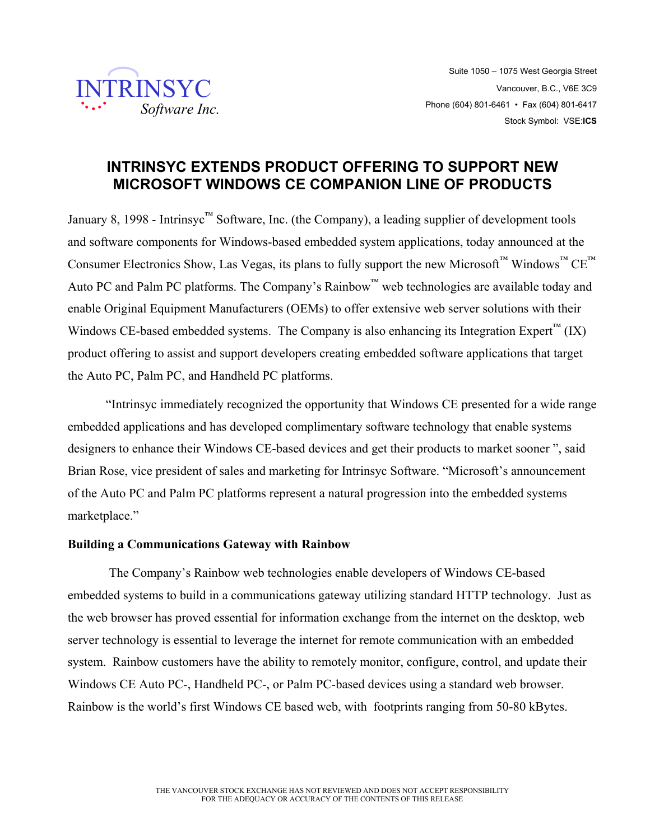

## **INTRINSYC EXTENDS PRODUCT OFFERING TO SUPPORT NEW MICROSOFT WINDOWS CE COMPANION LINE OF PRODUCTS**

January 8, 1998 - Intrinsyc<sup>™</sup> Software, Inc. (the Company), a leading supplier of development tools and software components for Windows-based embedded system applications, today announced at the Consumer Electronics Show, Las Vegas, its plans to fully support the new Microsoft™ Windows™ CE<sup>™</sup> Auto PC and Palm PC platforms. The Company's Rainbow™ web technologies are available today and enable Original Equipment Manufacturers (OEMs) to offer extensive web server solutions with their Windows CE-based embedded systems. The Company is also enhancing its Integration Expert<sup> $\mathfrak{m}$ </sup> (IX) product offering to assist and support developers creating embedded software applications that target the Auto PC, Palm PC, and Handheld PC platforms.

"Intrinsyc immediately recognized the opportunity that Windows CE presented for a wide range embedded applications and has developed complimentary software technology that enable systems designers to enhance their Windows CE-based devices and get their products to market sooner ", said Brian Rose, vice president of sales and marketing for Intrinsyc Software. "Microsoft's announcement of the Auto PC and Palm PC platforms represent a natural progression into the embedded systems marketplace."

## **Building a Communications Gateway with Rainbow**

 The Company's Rainbow web technologies enable developers of Windows CE-based embedded systems to build in a communications gateway utilizing standard HTTP technology. Just as the web browser has proved essential for information exchange from the internet on the desktop, web server technology is essential to leverage the internet for remote communication with an embedded system. Rainbow customers have the ability to remotely monitor, configure, control, and update their Windows CE Auto PC-, Handheld PC-, or Palm PC-based devices using a standard web browser. Rainbow is the world's first Windows CE based web, with footprints ranging from 50-80 kBytes.